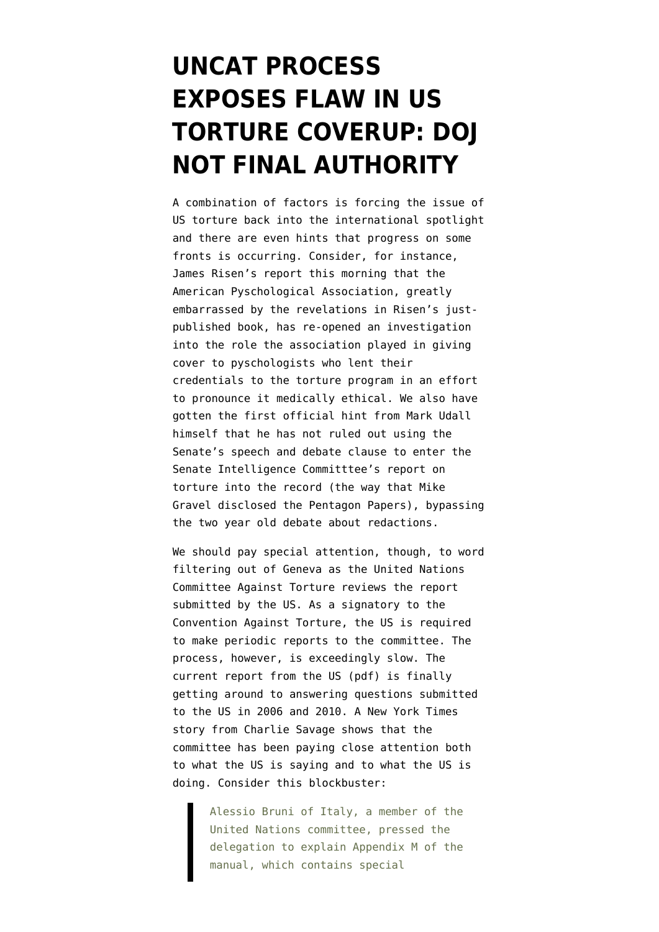## **[UNCAT PROCESS](https://www.emptywheel.net/2014/11/14/uncat-process-exposes-flaw-in-us-torture-coverup-doj-not-final-authority/) [EXPOSES FLAW IN US](https://www.emptywheel.net/2014/11/14/uncat-process-exposes-flaw-in-us-torture-coverup-doj-not-final-authority/) [TORTURE COVERUP: DOJ](https://www.emptywheel.net/2014/11/14/uncat-process-exposes-flaw-in-us-torture-coverup-doj-not-final-authority/) [NOT FINAL AUTHORITY](https://www.emptywheel.net/2014/11/14/uncat-process-exposes-flaw-in-us-torture-coverup-doj-not-final-authority/)**

A combination of factors is forcing the issue of US torture back into the international spotlight and there are even hints that progress on some fronts is occurring. Consider, for instance, [James Risen's report this morning](http://www.nytimes.com/2014/11/14/world/middleeast/psychologists-to-review-role-in-detainee-interrogations.html) that the American Pyschological Association, greatly embarrassed by the revelations in Risen's justpublished book, has re-opened an investigation into the role the association played in giving cover to pyschologists who lent their credentials to the torture program in an effort to pronounce it medically ethical. We also have gotten the [first official hint from Mark Udall](http://www.denverpost.com/election2014/ci_26931359/mark-udall-consider-all-options-reveal-cia-torture) [himself](http://www.denverpost.com/election2014/ci_26931359/mark-udall-consider-all-options-reveal-cia-torture) that he has not ruled out using the Senate's speech and debate clause to enter the Senate Intelligence Committtee's report on torture into the record (the way that Mike Gravel disclosed the Pentagon Papers), bypassing the two year old debate about redactions.

We should pay special attention, though, to word filtering out of Geneva as the United Nations Committee Against Torture reviews the report submitted by the US. As a signatory to the Convention Against Torture, the US is required to make periodic reports to the committee. The process, however, is exceedingly slow. The [current report from the US](http://www.state.gov/documents/organization/213267.pdf) (pdf) is finally getting around to answering questions submitted to the US in 2006 and 2010. A [New York Times](http://www.nytimes.com/2014/11/14/world/europe/un-commission-presses-us-on-torture.html) [story from Charlie Savage](http://www.nytimes.com/2014/11/14/world/europe/un-commission-presses-us-on-torture.html) shows that the committee has been paying close attention both to what the US is saying and to what the US is doing. Consider this blockbuster:

Alessio Bruni of Italy, a member of the United Nations committee, pressed the delegation to explain Appendix M of the manual, which contains special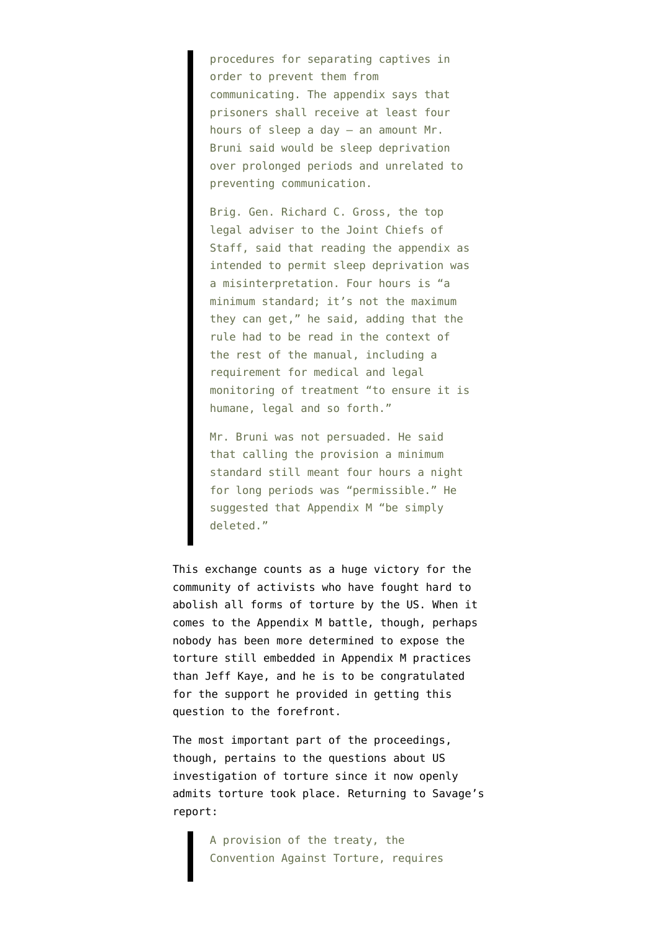procedures for separating captives in order to prevent them from communicating. The appendix says that prisoners shall receive at least four hours of sleep a day — an amount Mr. Bruni said would be sleep deprivation over prolonged periods and unrelated to preventing communication.

Brig. Gen. Richard C. Gross, the top legal adviser to the Joint Chiefs of Staff, said that reading the appendix as intended to permit sleep deprivation was a misinterpretation. Four hours is "a minimum standard; it's not the maximum they can get," he said, adding that the rule had to be read in the context of the rest of the manual, including a requirement for medical and legal monitoring of treatment "to ensure it is humane, legal and so forth."

Mr. Bruni was not persuaded. He said that calling the provision a minimum standard still meant four hours a night for long periods was "permissible." He suggested that Appendix M "be simply deleted."

This exchange counts as a huge victory for the community of activists who have fought hard to abolish all forms of torture by the US. When it comes to the Appendix M battle, though, perhaps [nobody has been more determined to expose the](http://www.theguardian.com/commentisfree/2014/jan/25/obama-administration-military-torture-army-field-manual) [torture still embedded in Appendix M practices](http://www.theguardian.com/commentisfree/2014/jan/25/obama-administration-military-torture-army-field-manual) [than Jeff Kaye](http://www.theguardian.com/commentisfree/2014/jan/25/obama-administration-military-torture-army-field-manual), and he is to be congratulated for the support he provided in getting this question to the forefront.

The most important part of the proceedings, though, pertains to the questions about US investigation of torture since it now openly admits torture took place. Returning to Savage's report:

> A provision of the treaty, the Convention Against Torture, requires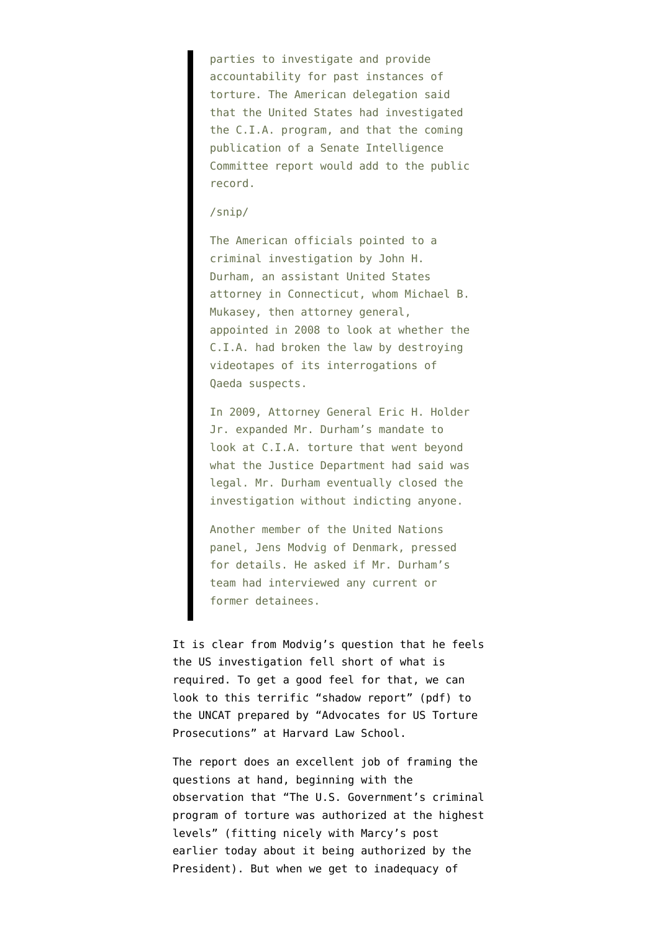parties to investigate and provide accountability for past instances of torture. The American delegation said that the United States had investigated the C.I.A. program, and that the coming publication of a Senate Intelligence Committee report would add to the public record.

## /snip/

The American officials pointed to a criminal investigation by John H. Durham, an assistant United States attorney in Connecticut, whom Michael B. Mukasey, then attorney general, appointed in 2008 to look at whether the C.I.A. had broken the law by destroying videotapes of its interrogations of Qaeda suspects.

In 2009, Attorney General Eric H. Holder Jr. expanded Mr. Durham's mandate to look at C.I.A. torture that went beyond what the Justice Department had said was legal. Mr. Durham eventually closed the investigation without indicting anyone.

Another member of the United Nations panel, Jens Modvig of Denmark, pressed for details. He asked if Mr. Durham's team had interviewed any current or former detainees.

It is clear from Modvig's question that he feels the US investigation fell short of what is required. To get a good feel for that, we can look to this terrific "[shadow report](http://hrp.law.harvard.edu/wp-content/uploads/2014/10/CAT-Shadow-Report-Advocates-for-US-Torture-Prosecutions.pdf)" (pdf) to the UNCAT prepared by "Advocates for US Torture Prosecutions" at Harvard Law School.

The report does an excellent job of framing the questions at hand, beginning with the observation that "The U.S. Government's criminal program of torture was authorized at the highest levels" (fitting nicely with [Marcy's post](https://www.emptywheel.net/2014/11/14/unsaid-at-the-un-because-the-president-ordered-it/) [earlier today](https://www.emptywheel.net/2014/11/14/unsaid-at-the-un-because-the-president-ordered-it/) about it being authorized by the President). But when we get to inadequacy of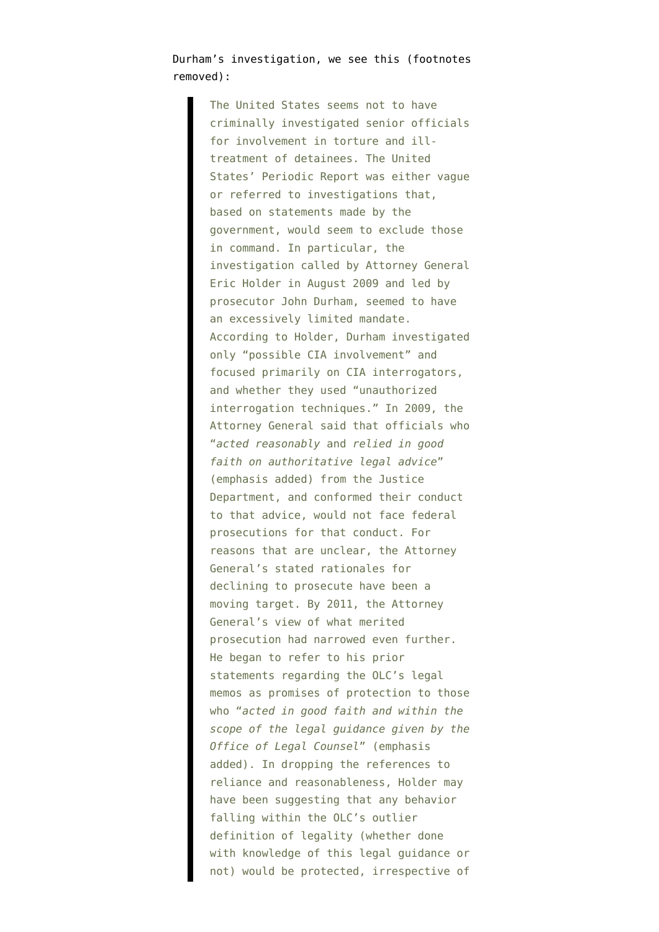Durham's investigation, we see this (footnotes removed):

> The United States seems not to have criminally investigated senior officials for involvement in torture and illtreatment of detainees. The United States' Periodic Report was either vague or referred to investigations that, based on statements made by the government, would seem to exclude those in command. In particular, the investigation called by Attorney General Eric Holder in August 2009 and led by prosecutor John Durham, seemed to have an excessively limited mandate. According to Holder, Durham investigated only "possible CIA involvement" and focused primarily on CIA interrogators, and whether they used "unauthorized interrogation techniques." In 2009, the Attorney General said that officials who "*acted reasonably* and *relied in good faith on authoritative legal advice*" (emphasis added) from the Justice Department, and conformed their conduct to that advice, would not face federal prosecutions for that conduct. For reasons that are unclear, the Attorney General's stated rationales for declining to prosecute have been a moving target. By 2011, the Attorney General's view of what merited prosecution had narrowed even further. He began to refer to his prior statements regarding the OLC's legal memos as promises of protection to those who "*acted in good faith and within the scope of the legal guidance given by the Office of Legal Counsel*" (emphasis added). In dropping the references to reliance and reasonableness, Holder may have been suggesting that any behavior falling within the OLC's outlier definition of legality (whether done with knowledge of this legal guidance or not) would be protected, irrespective of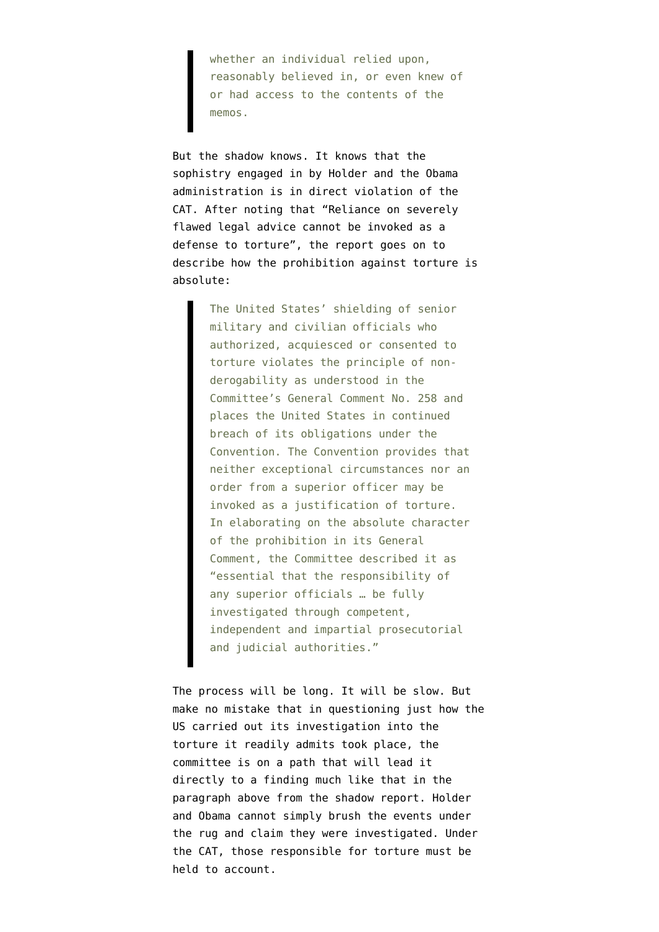whether an individual relied upon, reasonably believed in, or even knew of or had access to the contents of the memos.

But the shadow knows. It knows that the sophistry engaged in by Holder and the Obama administration is in direct violation of the CAT. After noting that "Reliance on severely flawed legal advice cannot be invoked as a defense to torture", the report goes on to describe how the prohibition against torture is absolute:

> The United States' shielding of senior military and civilian officials who authorized, acquiesced or consented to torture violates the principle of nonderogability as understood in the Committee's General Comment No. 258 and places the United States in continued breach of its obligations under the Convention. The Convention provides that neither exceptional circumstances nor an order from a superior officer may be invoked as a justification of torture. In elaborating on the absolute character of the prohibition in its General Comment, the Committee described it as "essential that the responsibility of any superior officials … be fully investigated through competent, independent and impartial prosecutorial and judicial authorities."

The process will be long. It will be slow. But make no mistake that in questioning just how the US carried out its investigation into the torture it readily admits took place, the committee is on a path that will lead it directly to a finding much like that in the paragraph above from the shadow report. Holder and Obama cannot simply brush the events under the rug and claim they were investigated. Under the CAT, those responsible for torture must be held to account.